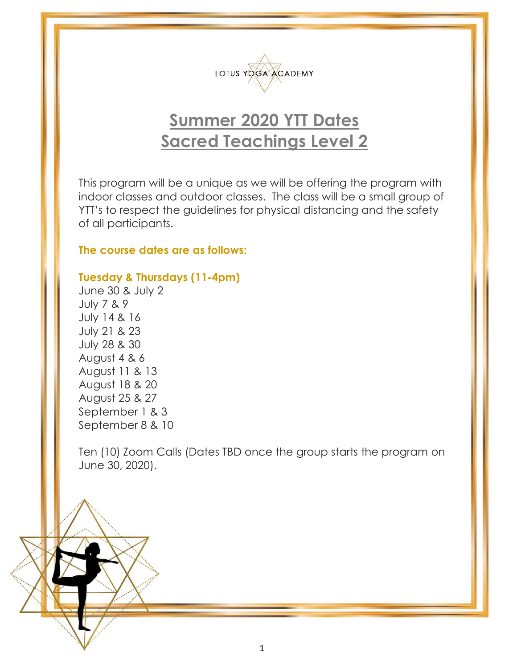

## **Summer 2020 YTT Dates Sacred Teachings Level 2**

This program will be a unique as we will be offering the program with indoor classes and outdoor classes. The class will be a small group of YTT's to respect the guidelines for physical distancing and the safety of all participants.

## **The course dates are as follows:**

## **Tuesday & Thursdays (11-4pm)**

June 30 & July 2 July 7 & 9 July 14 & 16 July 21 & 23 July 28 & 30 August 4 & 6 August 11 & 13 August 18 & 20 August 25 & 27 September 1 & 3 September 8 & 10

Ten (10) Zoom Calls (Dates TBD once the group starts the program on June 30, 2020).